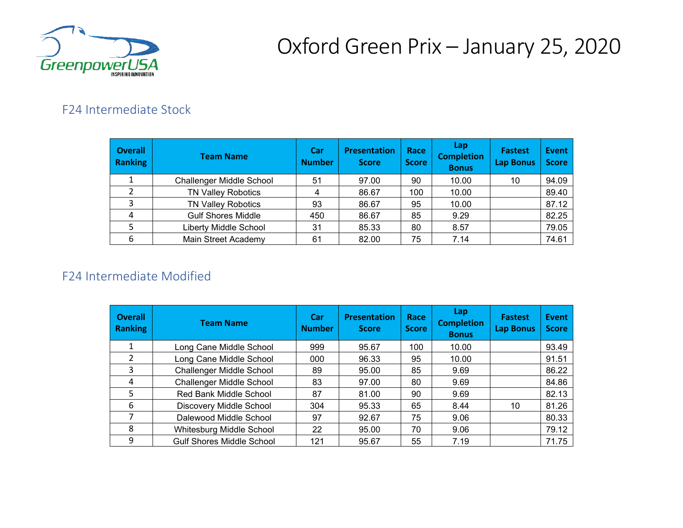

# Oxford Green Prix – January 25, 2020

### F24 Intermediate Stock

| <b>Overall</b><br>Ranking | <b>Team Name</b>                | Car<br><b>Number</b> | <b>Presentation</b><br><b>Score</b> | Race<br><b>Score</b> | Lap<br><b>Completion</b><br><b>Bonus</b> | <b>Fastest</b><br><b>Lap Bonus</b> | Event<br><b>Score</b> |
|---------------------------|---------------------------------|----------------------|-------------------------------------|----------------------|------------------------------------------|------------------------------------|-----------------------|
|                           | <b>Challenger Middle School</b> | 51                   | 97.00                               | 90                   | 10.00                                    | 10                                 | 94.09                 |
|                           | <b>TN Valley Robotics</b>       | 4                    | 86.67                               | 100                  | 10.00                                    |                                    | 89.40                 |
| 3                         | <b>TN Valley Robotics</b>       | 93                   | 86.67                               | 95                   | 10.00                                    |                                    | 87.12                 |
| 4                         | <b>Gulf Shores Middle</b>       | 450                  | 86.67                               | 85                   | 9.29                                     |                                    | 82.25                 |
|                           | <b>Liberty Middle School</b>    | 31                   | 85.33                               | 80                   | 8.57                                     |                                    | 79.05                 |
| 6                         | Main Street Academy             | 61                   | 82.00                               | 75                   | 7.14                                     |                                    | 74.61                 |

#### F24 Intermediate Modified

| <b>Overall</b><br><b>Ranking</b> | <b>Team Name</b>                 | Car<br><b>Number</b> | <b>Presentation</b><br><b>Score</b> | Race<br><b>Score</b> | Lap<br><b>Completion</b><br><b>Bonus</b> | <b>Fastest</b><br><b>Lap Bonus</b> | <b>Event</b><br><b>Score</b> |
|----------------------------------|----------------------------------|----------------------|-------------------------------------|----------------------|------------------------------------------|------------------------------------|------------------------------|
|                                  | Long Cane Middle School          | 999                  | 95.67                               | 100                  | 10.00                                    |                                    | 93.49                        |
|                                  | Long Cane Middle School          | 000                  | 96.33                               | 95                   | 10.00                                    |                                    | 91.51                        |
| 3                                | <b>Challenger Middle School</b>  | 89                   | 95.00                               | 85                   | 9.69                                     |                                    | 86.22                        |
| 4                                | Challenger Middle School         | 83                   | 97.00                               | 80                   | 9.69                                     |                                    | 84.86                        |
| 5                                | Red Bank Middle School           | 87                   | 81.00                               | 90                   | 9.69                                     |                                    | 82.13                        |
| 6                                | Discovery Middle School          | 304                  | 95.33                               | 65                   | 8.44                                     | 10                                 | 81.26                        |
|                                  | Dalewood Middle School           | 97                   | 92.67                               | 75                   | 9.06                                     |                                    | 80.33                        |
| 8                                | Whitesburg Middle School         | 22                   | 95.00                               | 70                   | 9.06                                     |                                    | 79.12                        |
| 9                                | <b>Gulf Shores Middle School</b> | 121                  | 95.67                               | 55                   | 7.19                                     |                                    | 71.75                        |